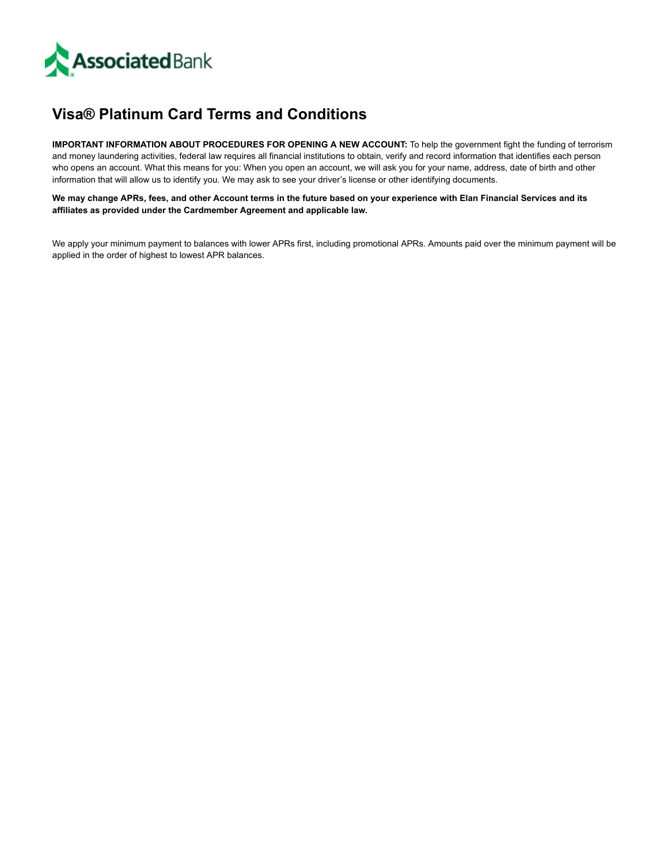

## **Visa® Platinum Card Terms and Conditions**

**IMPORTANT INFORMATION ABOUT PROCEDURES FOR OPENING A NEW ACCOUNT:** To help the government fight the funding of terrorism and money laundering activities, federal law requires all financial institutions to obtain, verify and record information that identifies each person who opens an account. What this means for you: When you open an account, we will ask you for your name, address, date of birth and other information that will allow us to identify you. We may ask to see your driver's license or other identifying documents.

We may change APRs, fees, and other Account terms in the future based on your experience with Elan Financial Services and its **affiliates as provided under the Cardmember Agreement and applicable law.**

We apply your minimum payment to balances with lower APRs first, including promotional APRs. Amounts paid over the minimum payment will be applied in the order of highest to lowest APR balances.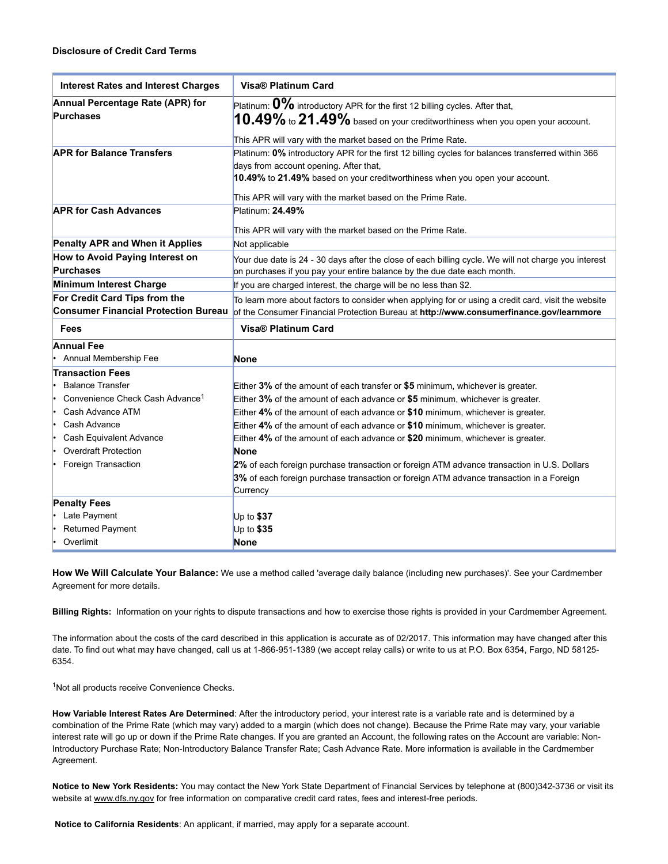| <b>Interest Rates and Interest Charges</b>  | <b>Visa® Platinum Card</b>                                                                           |
|---------------------------------------------|------------------------------------------------------------------------------------------------------|
| Annual Percentage Rate (APR) for            | Platinum: $0\%$ introductory APR for the first 12 billing cycles. After that,                        |
| <b>Purchases</b>                            | $10.49\%$ to $21.49\%$ based on your creditworthiness when you open your account.                    |
|                                             | This APR will vary with the market based on the Prime Rate.                                          |
| <b>APR for Balance Transfers</b>            | Platinum: 0% introductory APR for the first 12 billing cycles for balances transferred within 366    |
|                                             | days from account opening. After that,                                                               |
|                                             | 10.49% to 21.49% based on your creditworthiness when you open your account.                          |
|                                             | This APR will vary with the market based on the Prime Rate.                                          |
| <b>APR for Cash Advances</b>                | Platinum: 24.49%                                                                                     |
|                                             |                                                                                                      |
|                                             | This APR will vary with the market based on the Prime Rate.                                          |
| Penalty APR and When it Applies             | Not applicable                                                                                       |
| How to Avoid Paying Interest on             | Your due date is 24 - 30 days after the close of each billing cycle. We will not charge you interest |
| <b>Purchases</b>                            | on purchases if you pay your entire balance by the due date each month.                              |
| Minimum Interest Charge                     | If you are charged interest, the charge will be no less than \$2.                                    |
| For Credit Card Tips from the               | To learn more about factors to consider when applying for or using a credit card, visit the website  |
| <b>Consumer Financial Protection Bureau</b> | of the Consumer Financial Protection Bureau at http://www.consumerfinance.gov/learnmore              |
| Fees                                        | <b>Visa® Platinum Card</b>                                                                           |
|                                             |                                                                                                      |
| <b>Annual Fee</b>                           |                                                                                                      |
| Annual Membership Fee                       | <b>None</b>                                                                                          |
| <b>Transaction Fees</b>                     |                                                                                                      |
| <b>Balance Transfer</b>                     | Either 3% of the amount of each transfer or \$5 minimum, whichever is greater.                       |
| Convenience Check Cash Advance <sup>1</sup> | Either 3% of the amount of each advance or \$5 minimum, whichever is greater.                        |
| Cash Advance ATM                            | Either 4% of the amount of each advance or \$10 minimum, whichever is greater.                       |
| Cash Advance                                | Either 4% of the amount of each advance or \$10 minimum, whichever is greater.                       |
| Cash Equivalent Advance                     | Either 4% of the amount of each advance or \$20 minimum, whichever is greater.                       |
| <b>Overdraft Protection</b>                 | <b>None</b>                                                                                          |
| Foreign Transaction                         | 2% of each foreign purchase transaction or foreign ATM advance transaction in U.S. Dollars           |
|                                             | 3% of each foreign purchase transaction or foreign ATM advance transaction in a Foreign              |
|                                             | Currency                                                                                             |
| <b>Penalty Fees</b>                         |                                                                                                      |
| Late Payment                                | Up to $$37$                                                                                          |
| <b>Returned Payment</b><br>Overlimit        | Up to \$35<br><b>None</b>                                                                            |

**How We Will Calculate Your Balance:** We use a method called 'average daily balance (including new purchases)'. See your Cardmember Agreement for more details.

**Billing Rights:** Information on your rights to dispute transactions and how to exercise those rights is provided in your Cardmember Agreement.

The information about the costs of the card described in this application is accurate as of 02/2017. This information may have changed after this date. To find out what may have changed, call us at 1-866-951-1389 (we accept relay calls) or write to us at P.O. Box 6354, Fargo, ND 58125-6354.

<sup>1</sup>Not all products receive Convenience Checks.

**How Variable Interest Rates Are Determined**: After the introductory period, your interest rate is a variable rate and is determined by a combination of the Prime Rate (which may vary) added to a margin (which does not change). Because the Prime Rate may vary, your variable interest rate will go up or down if the Prime Rate changes. If you are granted an Account, the following rates on the Account are variable: Non-Introductory Purchase Rate; Non-Introductory Balance Transfer Rate; Cash Advance Rate. More information is available in the Cardmember Agreement.

**Notice to New York Residents:** You may contact the New York State Department of Financial Services by telephone at (800)3423736 or visit its website at [www.dfs.ny.gov](http://www.dfs.ny.gov/) for free information on comparative credit card rates, fees and interest-free periods.

**Notice to California Residents**: An applicant, if married, may apply for a separate account.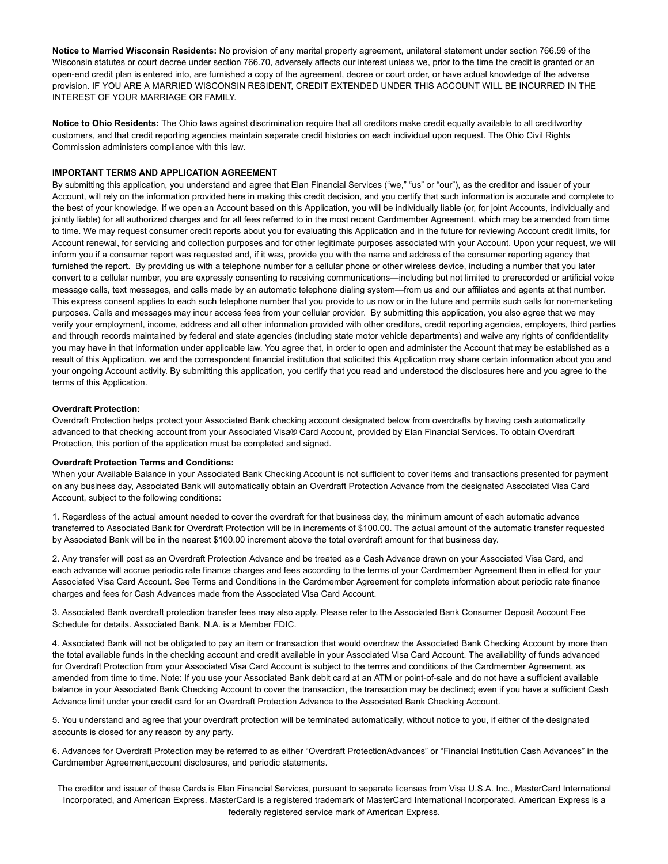**Notice to Married Wisconsin Residents:** No provision of any marital property agreement, unilateral statement under section 766.59 of the Wisconsin statutes or court decree under section 766.70, adversely affects our interest unless we, prior to the time the credit is granted or an open-end credit plan is entered into, are furnished a copy of the agreement, decree or court order, or have actual knowledge of the adverse provision. IF YOU ARE A MARRIED WISCONSIN RESIDENT, CREDIT EXTENDED UNDER THIS ACCOUNT WILL BE INCURRED IN THE INTEREST OF YOUR MARRIAGE OR FAMILY.

**Notice to Ohio Residents:** The Ohio laws against discrimination require that all creditors make credit equally available to all creditworthy customers, and that credit reporting agencies maintain separate credit histories on each individual upon request. The Ohio Civil Rights Commission administers compliance with this law.

## **IMPORTANT TERMS AND APPLICATION AGREEMENT**

By submitting this application, you understand and agree that Elan Financial Services ("we," "us" or "our"), as the creditor and issuer of your Account, will rely on the information provided here in making this credit decision, and you certify that such information is accurate and complete to the best of your knowledge. If we open an Account based on this Application, you will be individually liable (or, for joint Accounts, individually and jointly liable) for all authorized charges and for all fees referred to in the most recent Cardmember Agreement, which may be amended from time to time. We may request consumer credit reports about you for evaluating this Application and in the future for reviewing Account credit limits, for Account renewal, for servicing and collection purposes and for other legitimate purposes associated with your Account. Upon your request, we will inform you if a consumer report was requested and, if it was, provide you with the name and address of the consumer reporting agency that furnished the report. By providing us with a telephone number for a cellular phone or other wireless device, including a number that you later convert to a cellular number, you are expressly consenting to receiving communications—including but not limited to prerecorded or artificial voice message calls, text messages, and calls made by an automatic telephone dialing system—from us and our affiliates and agents at that number. This express consent applies to each such telephone number that you provide to us now or in the future and permits such calls for non-marketing purposes. Calls and messages may incur access fees from your cellular provider. By submitting this application, you also agree that we may verify your employment, income, address and all other information provided with other creditors, credit reporting agencies, employers, third parties and through records maintained by federal and state agencies (including state motor vehicle departments) and waive any rights of confidentiality you may have in that information under applicable law. You agree that, in order to open and administer the Account that may be established as a result of this Application, we and the correspondent financial institution that solicited this Application may share certain information about you and your ongoing Account activity. By submitting this application, you certify that you read and understood the disclosures here and you agree to the terms of this Application.

## **Overdraft Protection:**

Overdraft Protection helps protect your Associated Bank checking account designated below from overdrafts by having cash automatically advanced to that checking account from your Associated Visa® Card Account, provided by Elan Financial Services. To obtain Overdraft Protection, this portion of the application must be completed and signed.

## **Overdraft Protection Terms and Conditions:**

When your Available Balance in your Associated Bank Checking Account is not sufficient to cover items and transactions presented for payment on any business day, Associated Bank will automatically obtain an Overdraft Protection Advance from the designated Associated Visa Card Account, subject to the following conditions:

1. Regardless of the actual amount needed to cover the overdraft for that business day, the minimum amount of each automatic advance transferred to Associated Bank for Overdraft Protection will be in increments of \$100.00. The actual amount of the automatic transfer requested by Associated Bank will be in the nearest \$100.00 increment above the total overdraft amount for that business day.

2. Any transfer will post as an Overdraft Protection Advance and be treated as a Cash Advance drawn on your Associated Visa Card, and each advance will accrue periodic rate finance charges and fees according to the terms of your Cardmember Agreement then in effect for your Associated Visa Card Account. See Terms and Conditions in the Cardmember Agreement for complete information about periodic rate finance charges and fees for Cash Advances made from the Associated Visa Card Account.

3. Associated Bank overdraft protection transfer fees may also apply. Please refer to the Associated Bank Consumer Deposit Account Fee Schedule for details. Associated Bank, N.A. is a Member FDIC.

4. Associated Bank will not be obligated to pay an item or transaction that would overdraw the Associated Bank Checking Account by more than the total available funds in the checking account and credit available in your Associated Visa Card Account. The availability of funds advanced for Overdraft Protection from your Associated Visa Card Account is subject to the terms and conditions of the Cardmember Agreement, as amended from time to time. Note: If you use your Associated Bank debit card at an ATM or point-of-sale and do not have a sufficient available balance in your Associated Bank Checking Account to cover the transaction, the transaction may be declined; even if you have a sufficient Cash Advance limit under your credit card for an Overdraft Protection Advance to the Associated Bank Checking Account.

5. You understand and agree that your overdraft protection will be terminated automatically, without notice to you, if either of the designated accounts is closed for any reason by any party.

6. Advances for Overdraft Protection may be referred to as either "Overdraft ProtectionAdvances" or "Financial Institution Cash Advances" in the Cardmember Agreement,account disclosures, and periodic statements.

The creditor and issuer of these Cards is Elan Financial Services, pursuant to separate licenses from Visa U.S.A. Inc., MasterCard International Incorporated, and American Express. MasterCard is a registered trademark of MasterCard International Incorporated. American Express is a federally registered service mark of American Express.